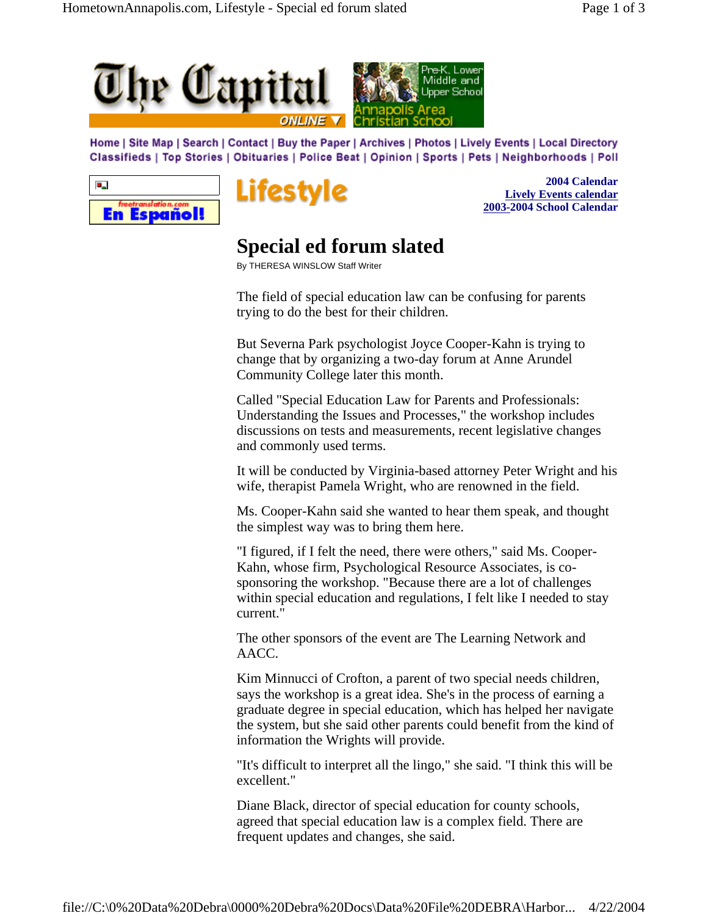



Home | Site Map | Search | Contact | Buy the Paper | Archives | Photos | Lively Events | Local Directory Classifieds | Top Stories | Obituaries | Police Beat | Opinion | Sports | Pets | Neighborhoods | Poll





**2004 Calendar Lively Events calendar 2003-2004 School Calendar**

## **Special ed forum slated**

By THERESA WINSLOW Staff Writer

The field of special education law can be confusing for parents trying to do the best for their children.

But Severna Park psychologist Joyce Cooper-Kahn is trying to change that by organizing a two-day forum at Anne Arundel Community College later this month.

Called "Special Education Law for Parents and Professionals: Understanding the Issues and Processes," the workshop includes discussions on tests and measurements, recent legislative changes and commonly used terms.

It will be conducted by Virginia-based attorney Peter Wright and his wife, therapist Pamela Wright, who are renowned in the field.

Ms. Cooper-Kahn said she wanted to hear them speak, and thought the simplest way was to bring them here.

"I figured, if I felt the need, there were others," said Ms. Cooper-Kahn, whose firm, Psychological Resource Associates, is cosponsoring the workshop. "Because there are a lot of challenges within special education and regulations, I felt like I needed to stay current."

The other sponsors of the event are The Learning Network and AACC.

Kim Minnucci of Crofton, a parent of two special needs children, says the workshop is a great idea. She's in the process of earning a graduate degree in special education, which has helped her navigate the system, but she said other parents could benefit from the kind of information the Wrights will provide.

"It's difficult to interpret all the lingo," she said. "I think this will be excellent."

Diane Black, director of special education for county schools, agreed that special education law is a complex field. There are frequent updates and changes, she said.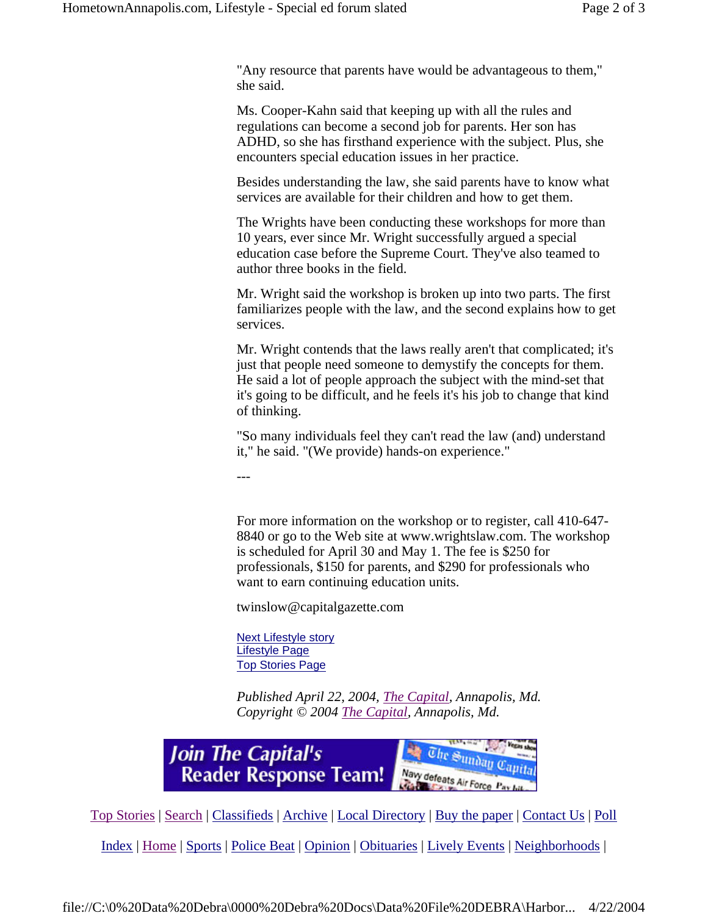"Any resource that parents have would be advantageous to them," she said.

Ms. Cooper-Kahn said that keeping up with all the rules and regulations can become a second job for parents. Her son has ADHD, so she has firsthand experience with the subject. Plus, she encounters special education issues in her practice.

Besides understanding the law, she said parents have to know what services are available for their children and how to get them.

The Wrights have been conducting these workshops for more than 10 years, ever since Mr. Wright successfully argued a special education case before the Supreme Court. They've also teamed to author three books in the field.

Mr. Wright said the workshop is broken up into two parts. The first familiarizes people with the law, and the second explains how to get services.

Mr. Wright contends that the laws really aren't that complicated; it's just that people need someone to demystify the concepts for them. He said a lot of people approach the subject with the mind-set that it's going to be difficult, and he feels it's his job to change that kind of thinking.

"So many individuals feel they can't read the law (and) understand it," he said. "(We provide) hands-on experience."

---

For more information on the workshop or to register, call 410-647- 8840 or go to the Web site at www.wrightslaw.com. The workshop is scheduled for April 30 and May 1. The fee is \$250 for professionals, \$150 for parents, and \$290 for professionals who want to earn continuing education units.

twinslow@capitalgazette.com

Next Lifestyle story Lifestyle Page Top Stories Page

*Published April 22, 2004, The Capital, Annapolis, Md. Copyright © 2004 The Capital, Annapolis, Md.*



Top Stories | Search | Classifieds | Archive | Local Directory | Buy the paper | Contact Us | Poll

Index | Home | Sports | Police Beat | Opinion | Obituaries | Lively Events | Neighborhoods |